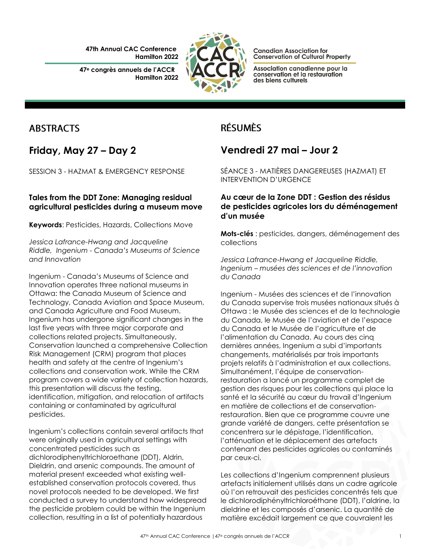**47th Annual CAC Conference Hamilton 2022**

**47<sup>e</sup> congrès annuels de l'ACCR Hamilton 2022**



**Canadian Association for Conservation of Cultural Property** 

Association canadienne pour la conservation et la restauration des biens culturels

## **ABSTRACTS**

**Friday, May 27 – Day 2**

SESSION 3 - HAZMAT & EMERGENCY RESPONSE

### **Tales from the DDT Zone: Managing residual agricultural pesticides during a museum move**

**Keywords**: Pesticides, Hazards, Collections Move

*Jessica Lafrance-Hwang and Jacqueline Riddle, Ingenium - Canada's Museums of Science and Innovation*

Ingenium - Canada's Museums of Science and Innovation operates three national museums in Ottawa: the Canada Museum of Science and Technology, Canada Aviation and Space Museum, and Canada Agriculture and Food Museum. Ingenium has undergone significant changes in the last five years with three major corporate and collections related projects. Simultaneously, Conservation launched a comprehensive Collection Risk Management (CRM) program that places health and safety at the centre of Ingenium's collections and conservation work. While the CRM program covers a wide variety of collection hazards, this presentation will discuss the testing, identification, mitigation, and relocation of artifacts containing or contaminated by agricultural pesticides.

Ingenium's collections contain several artifacts that were originally used in agricultural settings with concentrated pesticides such as dichlorodiphenyltrichloroethane (DDT), Aldrin, Dieldrin, and arsenic compounds. The amount of material present exceeded what existing wellestablished conservation protocols covered, thus novel protocols needed to be developed. We first conducted a survey to understand how widespread the pesticide problem could be within the Ingenium collection, resulting in a list of potentially hazardous

# **RÉSUMÈS**

# **Vendredi 27 mai – Jour 2**

SÉANCE 3 - MATIÈRES DANGEREUSES (HAZMAT) ET INTERVENTION D'URGENCE

### **Au cœur de la Zone DDT : Gestion des résidus de pesticides agricoles lors du déménagement d'un musée**

**Mots-clés** : pesticides, dangers, déménagement des collections

*Jessica Lafrance-Hwang et Jacqueline Riddle, Ingenium – musées des sciences et de l'innovation du Canada*

Ingenium - Musées des sciences et de l'innovation du Canada supervise trois musées nationaux situés à Ottawa : le Musée des sciences et de la technologie du Canada, le Musée de l'aviation et de l'espace du Canada et le Musée de l'agriculture et de l'alimentation du Canada. Au cours des cinq dernières années, Ingenium a subi d'importants changements, matérialisés par trois importants projets relatifs à l'administration et aux collections. Simultanément, l'équipe de conservationrestauration a lancé un programme complet de gestion des risques pour les collections qui place la santé et la sécurité au cœur du travail d'Ingenium en matière de collections et de conservationrestauration. Bien que ce programme couvre une grande variété de dangers, cette présentation se concentrera sur le dépistage, l'identification, l'atténuation et le déplacement des artefacts contenant des pesticides agricoles ou contaminés par ceux-ci.

Les collections d'Ingenium comprennent plusieurs artefacts initialement utilisés dans un cadre agricole où l'on retrouvait des pesticides concentrés tels que le dichlorodiphényltrichloroéthane (DDT), l'aldrine, la dieldrine et les composés d'arsenic. La quantité de matière excédait largement ce que couvraient les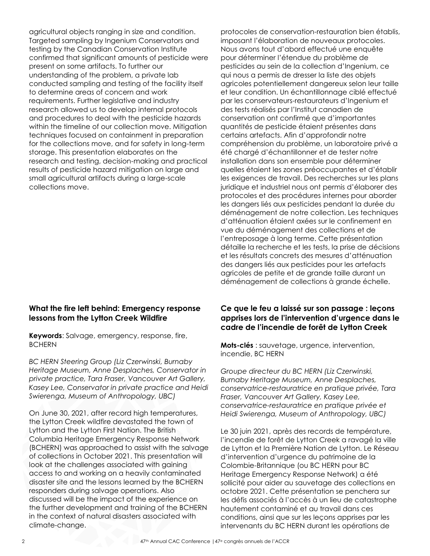agricultural objects ranging in size and condition. Targeted sampling by Ingenium Conservators and testing by the Canadian Conservation Institute confirmed that significant amounts of pesticide were present on some artifacts. To further our understanding of the problem, a private lab conducted sampling and testing of the facility itself to determine areas of concern and work requirements. Further legislative and industry research allowed us to develop internal protocols and procedures to deal with the pesticide hazards within the timeline of our collection move. Mitigation techniques focused on containment in preparation for the collections move, and for safety in long-term storage. This presentation elaborates on the research and testing, decision-making and practical results of pesticide hazard mitigation on large and small agricultural artifacts during a large-scale collections move.

#### **What the fire left behind: Emergency response lessons from the Lytton Creek Wildfire**

**Keywords**: Salvage, emergency, response, fire, BCHERN

*BC HERN Steering Group (Liz Czerwinski, Burnaby Heritage Museum, Anne Desplaches, Conservator in private practice, Tara Fraser, Vancouver Art Gallery, Kasey Lee, Conservator in private practice and Heidi Swierenga, Museum of Anthropology, UBC)*

On June 30, 2021, after record high temperatures, the Lytton Creek wildfire devastated the town of Lytton and the Lytton First Nation. The British Columbia Heritage Emergency Response Network (BCHERN) was approached to assist with the salvage of collections in October 2021. This presentation will look at the challenges associated with gaining access to and working on a heavily contaminated disaster site and the lessons learned by the BCHERN responders during salvage operations. Also discussed will be the impact of the experience on the further development and training of the BCHERN in the context of natural disasters associated with climate-change.

protocoles de conservation-restauration bien établis, imposant l'élaboration de nouveaux protocoles. Nous avons tout d'abord effectué une enquête pour déterminer l'étendue du problème de pesticides au sein de la collection d'Ingenium, ce qui nous a permis de dresser la liste des objets agricoles potentiellement dangereux selon leur taille et leur condition. Un échantillonnage ciblé effectué par les conservateurs-restaurateurs d'Ingenium et des tests réalisés par l'Institut canadien de conservation ont confirmé que d'importantes quantités de pesticide étaient présentes dans certains artefacts. Afin d'approfondir notre compréhension du problème, un laboratoire privé a été chargé d'échantillonner et de tester notre installation dans son ensemble pour déterminer quelles étaient les zones préoccupantes et d'établir les exigences de travail. Des recherches sur les plans juridique et industriel nous ont permis d'élaborer des protocoles et des procédures internes pour aborder les dangers liés aux pesticides pendant la durée du déménagement de notre collection. Les techniques d'atténuation étaient axées sur le confinement en vue du déménagement des collections et de l'entreposage à long terme. Cette présentation détaille la recherche et les tests, la prise de décisions et les résultats concrets des mesures d'atténuation des dangers liés aux pesticides pour les artefacts agricoles de petite et de grande taille durant un déménagement de collections à grande échelle.

#### **Ce que le feu a laissé sur son passage : leçons apprises lors de l'intervention d'urgence dans le cadre de l'incendie de forêt de Lytton Creek**

**Mots-clés** : sauvetage, urgence, intervention, incendie, BC HERN

*Groupe directeur du BC HERN (Liz Czerwinski, Burnaby Heritage Museum, Anne Desplaches, conservatrice-restauratrice en pratique privée, Tara Fraser, Vancouver Art Gallery, Kasey Lee, conservatrice-restauratrice en pratique privée et Heidi Swierenga, Museum of Anthropology, UBC)*

Le 30 juin 2021, après des records de température, l'incendie de forêt de Lytton Creek a ravagé la ville de Lytton et la Première Nation de Lytton. Le Réseau d'intervention d'urgence du patrimoine de la Colombie-Britannique (ou BC HERN pour BC Heritage Emergency Response Network) a été sollicité pour aider au sauvetage des collections en octobre 2021. Cette présentation se penchera sur les défis associés à l'accès à un lieu de catastrophe hautement contaminé et au travail dans ces conditions, ainsi que sur les leçons apprises par les intervenants du BC HERN durant les opérations de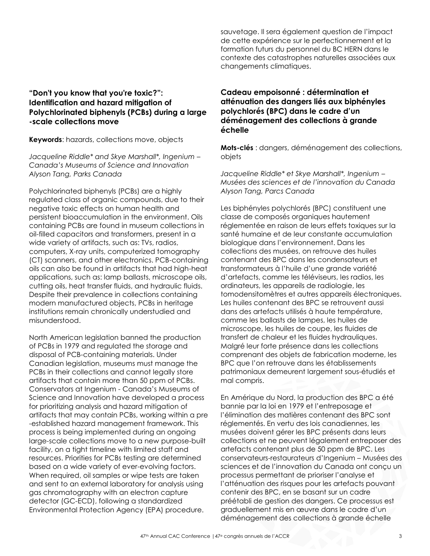#### **"Don't you know that you're toxic?": Identification and hazard mitigation of Polychlorinated biphenyls (PCBs) during a large -scale collections move**

**Keywords**: hazards, collections move, objects

*Jacqueline Riddle\* and Skye Marshall\*, Ingenium – Canada's Museums of Science and Innovation Alyson Tang, Parks Canada*

Polychlorinated biphenyls (PCBs) are a highly regulated class of organic compounds, due to their negative toxic effects on human health and persistent bioaccumulation in the environment. Oils containing PCBs are found in museum collections in oil-filled capacitors and transformers, present in a wide variety of artifacts, such as: TVs, radios, computers, X-ray units, computerized tomography (CT) scanners, and other electronics. PCB-containing oils can also be found in artifacts that had high-heat applications, such as: lamp ballasts, microscope oils, cutting oils, heat transfer fluids, and hydraulic fluids. Despite their prevalence in collections containing modern manufactured objects, PCBs in heritage institutions remain chronically understudied and misunderstood.

North American legislation banned the production of PCBs in 1979 and regulated the storage and disposal of PCB-containing materials. Under Canadian legislation, museums must manage the PCBs in their collections and cannot legally store artifacts that contain more than 50 ppm of PCBs. Conservators at Ingenium - Canada's Museums of Science and Innovation have developed a process for prioritizing analysis and hazard mitigation of artifacts that may contain PCBs, working within a pre -established hazard management framework. This process is being implemented during an ongoing large-scale collections move to a new purpose-built facility, on a tight timeline with limited staff and resources. Priorities for PCBs testing are determined based on a wide variety of ever-evolving factors. When required, oil samples or wipe tests are taken and sent to an external laboratory for analysis using gas chromatography with an electron capture detector (GC-ECD), following a standardized Environmental Protection Agency (EPA) procedure.

sauvetage. Il sera également question de l'impact de cette expérience sur le perfectionnement et la formation futurs du personnel du BC HERN dans le contexte des catastrophes naturelles associées aux changements climatiques.

#### **Cadeau empoisonné : détermination et atténuation des dangers liés aux biphényles polychlorés (BPC) dans le cadre d'un déménagement des collections à grande échelle**

**Mots-clés** : dangers, déménagement des collections, objets

*Jacqueline Riddle\* et Skye Marshall\*, Ingenium – Musées des sciences et de l'innovation du Canada Alyson Tang, Parcs Canada*

Les biphényles polychlorés (BPC) constituent une classe de composés organiques hautement réglementée en raison de leurs effets toxiques sur la santé humaine et de leur constante accumulation biologique dans l'environnement. Dans les collections des musées, on retrouve des huiles contenant des BPC dans les condensateurs et transformateurs à l'huile d'une grande variété d'artefacts, comme les téléviseurs, les radios, les ordinateurs, les appareils de radiologie, les tomodensitomètres et autres appareils électroniques. Les huiles contenant des BPC se retrouvent aussi dans des artefacts utilisés à haute température, comme les ballasts de lampes, les huiles de microscope, les huiles de coupe, les fluides de transfert de chaleur et les fluides hydrauliques. Malgré leur forte présence dans les collections comprenant des objets de fabrication moderne, les BPC que l'on retrouve dans les établissements patrimoniaux demeurent largement sous-étudiés et mal compris.

En Amérique du Nord, la production des BPC a été bannie par la loi en 1979 et l'entreposage et l'élimination des matières contenant des BPC sont réglementés. En vertu des lois canadiennes, les musées doivent gérer les BPC présents dans leurs collections et ne peuvent légalement entreposer des artefacts contenant plus de 50 ppm de BPC. Les conservateurs-restaurateurs d'Ingenium – Musées des sciences et de l'innovation du Canada ont conçu un processus permettant de prioriser l'analyse et l'atténuation des risques pour les artefacts pouvant contenir des BPC, en se basant sur un cadre préétabli de gestion des dangers. Ce processus est graduellement mis en œuvre dans le cadre d'un déménagement des collections à grande échelle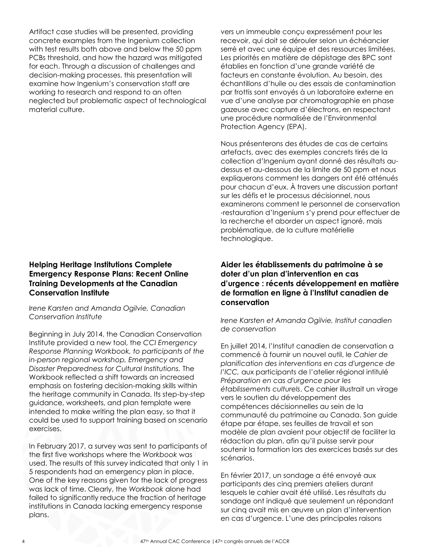Artifact case studies will be presented, providing concrete examples from the Ingenium collection with test results both above and below the 50 ppm PCBs threshold, and how the hazard was mitigated for each. Through a discussion of challenges and decision-making processes, this presentation will examine how Ingenium's conservation staff are working to research and respond to an often neglected but problematic aspect of technological material culture.

#### **Helping Heritage Institutions Complete Emergency Response Plans: Recent Online Training Developments at the Canadian Conservation Institute**

*Irene Karsten and Amanda Ogilvie, Canadian Conservation Institute*

Beginning in July 2014, the Canadian Conservation Institute provided a new tool, the *CCI Emergency Response Planning Workbook, to participants of the in-person regional workshop, Emergency and Disaster Preparedness for Cultural Institutions.* The Workbook reflected a shift towards an increased emphasis on fostering decision-making skills within the heritage community in Canada. Its step-by-step guidance, worksheets, and plan template were intended to make writing the plan easy, so that it could be used to support training based on scenario exercises.

In February 2017, a survey was sent to participants of the first five workshops where the *Workbook* was used. The results of this survey indicated that only 1 in 5 respondents had an emergency plan in place. One of the key reasons given for the lack of progress was lack of time. Clearly, the *Workbook* alone had failed to significantly reduce the fraction of heritage institutions in Canada lacking emergency response plans.

vers un immeuble conçu expressément pour les recevoir, qui doit se dérouler selon un échéancier serré et avec une équipe et des ressources limitées. Les priorités en matière de dépistage des BPC sont établies en fonction d'une grande variété de facteurs en constante évolution. Au besoin, des échantillons d'huile ou des essais de contamination par frottis sont envoyés à un laboratoire externe en vue d'une analyse par chromatographie en phase gazeuse avec capture d'électrons, en respectant une procédure normalisée de l'Environmental Protection Agency (EPA).

Nous présenterons des études de cas de certains artefacts, avec des exemples concrets tirés de la collection d'Ingenium ayant donné des résultats audessus et au-dessous de la limite de 50 ppm et nous expliquerons comment les dangers ont été atténués pour chacun d'eux. À travers une discussion portant sur les défis et le processus décisionnel, nous examinerons comment le personnel de conservation -restauration d'Ingenium s'y prend pour effectuer de la recherche et aborder un aspect ignoré, mais problématique, de la culture matérielle technologique.

#### **Aider les établissements du patrimoine à se doter d'un plan d'intervention en cas d'urgence : récents développement en matière de formation en ligne à l'Institut canadien de conservation**

*Irene Karsten et Amanda Ogilvie, Institut canadien de conservation*

En juillet 2014, l'Institut canadien de conservation a commencé à fournir un nouvel outil, le *Cahier de planification des interventions en cas d'urgence de l'ICC,* aux participants de l'atelier régional intitulé *Préparation en cas d'urgence pour les établissements culturels*. Ce cahier illustrait un virage vers le soutien du développement des compétences décisionnelles au sein de la communauté du patrimoine au Canada. Son guide étape par étape, ses feuilles de travail et son modèle de plan avaient pour objectif de faciliter la rédaction du plan, afin qu'il puisse servir pour soutenir la formation lors des exercices basés sur des scénarios.

En février 2017, un sondage a été envoyé aux participants des cinq premiers ateliers durant lesquels le cahier avait été utilisé. Les résultats du sondage ont indiqué que seulement un répondant sur cinq avait mis en œuvre un plan d'intervention en cas d'urgence. L'une des principales raisons